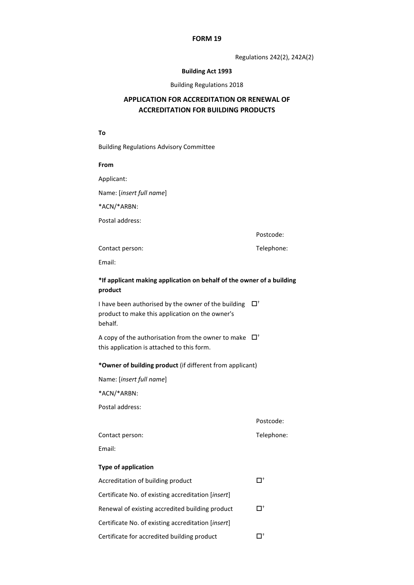#### **FORM 19**

Regulations 242(2), 242A(2)

## **Building Act 1993**

#### Building Regulations 2018

# **APPLICATION FOR ACCREDITATION OR RENEWAL OF ACCREDITATION FOR BUILDING PRODUCTS**

## **To**

Building Regulations Advisory Committee

#### **From**

Applicant:

Name: [*insert full name*]

\*ACN/\*ARBN:

Postal address:

Postcode:

Contact person: Telephone:

Email:

# **\*If applicant making application on behalf of the owner of a building product**

I have been authorised by the owner of the building  $\Box^{\dagger}$ product to make this application on the owner's behalf.

A copy of the authorisation from the owner to make  $\Box^{\dagger}$ this application is attached to this form.

**\*Owner of building product** (if different from applicant)

Name: [*insert full name*]

\*ACN/\*ARBN:

Postal address:

Postcode:

Contact person: Telephone:

Email:

# **Type of application**

| Accreditation of building product                  |    |
|----------------------------------------------------|----|
| Certificate No. of existing accreditation [insert] |    |
| Renewal of existing accredited building product    | Пt |
| Certificate No. of existing accreditation [insert] |    |
| Certificate for accredited building product        |    |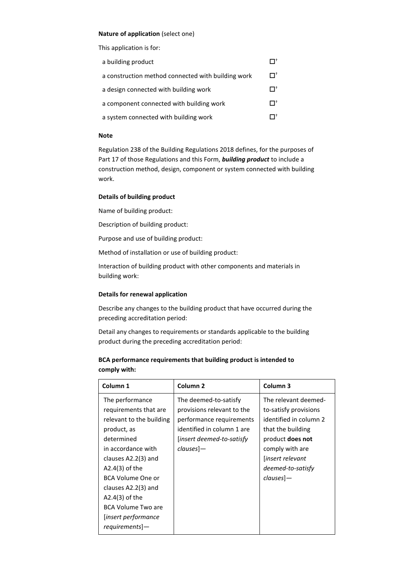## **Nature of application** (select one)

This application is for:

| a building product                                 |    |
|----------------------------------------------------|----|
| a construction method connected with building work | Пt |
| a design connected with building work              |    |
| a component connected with building work           |    |
| a system connected with building work              |    |

#### **Note**

Regulation 238 of the Building Regulations 2018 defines, for the purposes of Part 17 of those Regulations and this Form, *building product* to include a construction method, design, component or system connected with building work.

## **Details of building product**

Name of building product:

Description of building product:

Purpose and use of building product:

Method of installation or use of building product:

Interaction of building product with other components and materials in building work:

## **Details for renewal application**

Describe any changes to the building product that have occurred during the preceding accreditation period:

Detail any changes to requirements or standards applicable to the building product during the preceding accreditation period:

# **BCA performance requirements that building product is intended to comply with:**